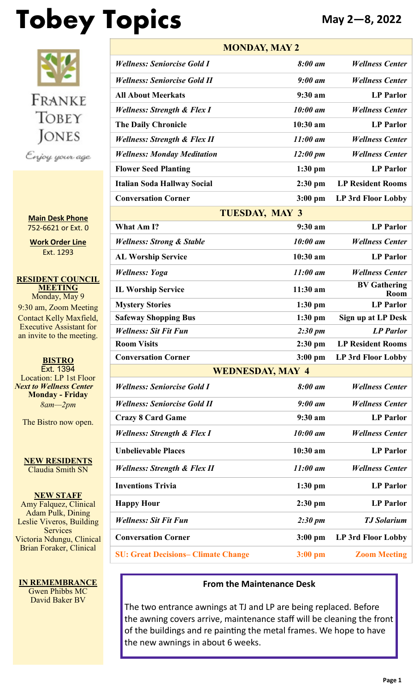# **Tobey Topics May 2—8, 2022**



**Main Desk Phone** 752-6621 or Ext. 0

**Work Order Line** Ext. 1293

**RESIDENT COUNCIL MEETING** Monday, May 9 9:30 am, Zoom Meeting Contact Kelly Maxfield, Executive Assistant for an invite to the meeting.

**BISTRO** Ext. 1394 Location: LP 1st Floor *Next to Wellness Center* **Monday - Friday** *8am—2pm*

The Bistro now open.

**NEW RESIDENTS** Claudia Smith SN

**NEW STAFF** Amy Falquez, Clinical Adam Pulk, Dining Leslie Viveros, Building **Services** Victoria Ndungu, Clinical Brian Foraker, Clinical

**IN REMEMBRANCE** Gwen Phibbs MC David Baker BV

| <b>MONDAY, MAY 2</b>                       |                     |                             |  |  |
|--------------------------------------------|---------------------|-----------------------------|--|--|
| <b>Wellness: Seniorcise Gold I</b>         | 8:00 am             | <b>Wellness Center</b>      |  |  |
| <b>Wellness: Seniorcise Gold II</b>        | $9:00$ am           | <b>Wellness Center</b>      |  |  |
| <b>All About Meerkats</b>                  | 9:30 am             | <b>LP</b> Parlor            |  |  |
| <b>Wellness: Strength &amp; Flex I</b>     | 10:00 am            | <b>Wellness Center</b>      |  |  |
| <b>The Daily Chronicle</b>                 | $10:30$ am          | <b>LP Parlor</b>            |  |  |
| <b>Wellness: Strength &amp; Flex II</b>    | $11:00$ am          | <b>Wellness Center</b>      |  |  |
| <b>Wellness: Monday Meditation</b>         | $12:00 \text{ pm}$  | <b>Wellness Center</b>      |  |  |
| <b>Flower Seed Planting</b>                | $1:30$ pm           | <b>LP</b> Parlor            |  |  |
| <b>Italian Soda Hallway Social</b>         | $2:30$ pm           | <b>LP Resident Rooms</b>    |  |  |
| <b>Conversation Corner</b>                 | $3:00$ pm           | LP 3rd Floor Lobby          |  |  |
| <b>TUESDAY, MAY 3</b>                      |                     |                             |  |  |
| What Am I?                                 | 9:30 a <sub>m</sub> | <b>LP</b> Parlor            |  |  |
| <b>Wellness: Strong &amp; Stable</b>       | 10:00 am            | <b>Wellness Center</b>      |  |  |
| <b>AL Worship Service</b>                  | $10:30$ am          | <b>LP</b> Parlor            |  |  |
| <b>Wellness: Yoga</b>                      | $11:00$ am          | <b>Wellness Center</b>      |  |  |
| <b>IL Worship Service</b>                  | $11:30$ am          | <b>BV Gathering</b><br>Room |  |  |
| <b>Mystery Stories</b>                     | $1:30$ pm           | <b>LP Parlor</b>            |  |  |
| <b>Safeway Shopping Bus</b>                | $1:30$ pm           | <b>Sign up at LP Desk</b>   |  |  |
| <b>Wellness: Sit Fit Fun</b>               | $2:30 \text{ pm}$   | <b>LP</b> Parlor            |  |  |
| <b>Room Visits</b>                         | $2:30$ pm           | <b>LP Resident Rooms</b>    |  |  |
| <b>Conversation Corner</b>                 | $3:00$ pm           | LP 3rd Floor Lobby          |  |  |
| <b>WEDNESDAY, MAY 4</b>                    |                     |                             |  |  |
| <b>Wellness: Seniorcise Gold I</b>         | 8:00 am             | <b>Wellness Center</b>      |  |  |
| <b>Wellness: Seniorcise Gold II</b>        | $9:00$ am           | <b>Wellness Center</b>      |  |  |
| <b>Crazy 8 Card Game</b>                   | 9:30 am             | <b>LP</b> Parlor            |  |  |
| <b>Wellness: Strength &amp; Flex I</b>     | 10:00 am            | <b>Wellness Center</b>      |  |  |
| <b>Unbelievable Places</b>                 | 10:30 am            | <b>LP</b> Parlor            |  |  |
| <b>Wellness: Strength &amp; Flex II</b>    | 11:00 am            | <b>Wellness Center</b>      |  |  |
| <b>Inventions Trivia</b>                   | $1:30$ pm           | <b>LP</b> Parlor            |  |  |
| <b>Happy Hour</b>                          | $2:30$ pm           | <b>LP Parlor</b>            |  |  |
| <b>Wellness: Sit Fit Fun</b>               | $2:30 \text{ pm}$   | <b>TJ</b> Solarium          |  |  |
| <b>Conversation Corner</b>                 | $3:00$ pm           | LP 3rd Floor Lobby          |  |  |
| <b>SU: Great Decisions– Climate Change</b> | $3:00$ pm           | <b>Zoom Meeting</b>         |  |  |

#### **From the Maintenance Desk**

The two entrance awnings at TJ and LP are being replaced. Before the awning covers arrive, maintenance staff will be cleaning the front of the buildings and re painting the metal frames. We hope to have the new awnings in about 6 weeks.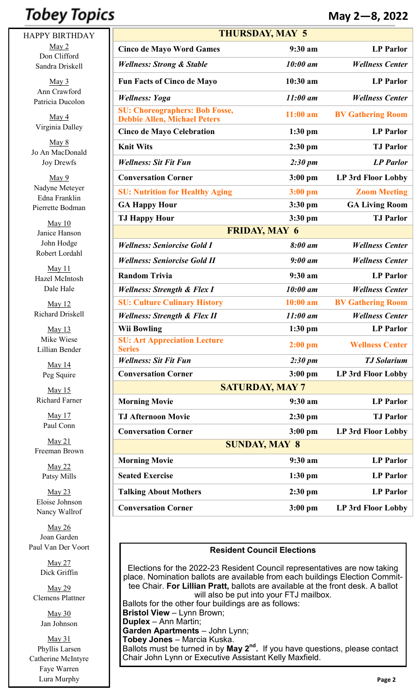# **Tobey Topics**

HAPPY BIRTHDAY May 2 Don Clifford Sandra Driskell

> $May 3$ Ann Crawford Patricia Ducolon

May 4 Virginia Dalley

May 8 Jo An MacDonald Joy Drewfs

May 9 Nadyne Meteyer Edna Franklin Pierrette Bodman

May 10 Janice Hanson John Hodge Robert Lordahl

May 11 Hazel McIntosh Dale Hale

May 12 Richard Driskell

May 13 Mike Wiese Lillian Bender

> May 14 Peg Squire

May 15 Richard Farner

> May 17 Paul Conn

May 21 Freeman Brown

> May 22 Patsy Mills

May 23 Eloise Johnson Nancy Wallrof

May 26 Joan Garden Paul Van Der Voort

> May 27 Dick Griffin

May 29 Clemens Plattner

> May 30 Jan Johnson

May 31 Phyllis Larsen Catherine McIntyre Faye Warren Lura Murphy

| <b>THURSDAY, MAY 5</b>                                                       |                     |                           |  |  |
|------------------------------------------------------------------------------|---------------------|---------------------------|--|--|
| <b>Cinco de Mayo Word Games</b>                                              | 9:30 a m            | <b>LP</b> Parlor          |  |  |
| <b>Wellness: Strong &amp; Stable</b>                                         | 10:00 am            | <b>Wellness Center</b>    |  |  |
| <b>Fun Facts of Cinco de Mayo</b>                                            | $10:30$ am          | <b>LP</b> Parlor          |  |  |
| <b>Wellness: Yoga</b>                                                        | $11:00$ am          | <b>Wellness Center</b>    |  |  |
| <b>SU: Choreographers: Bob Fosse,</b><br><b>Debbie Allen, Michael Peters</b> | $11:00$ am          | <b>BV Gathering Room</b>  |  |  |
| <b>Cinco de Mayo Celebration</b>                                             | $1:30$ pm           | <b>LP</b> Parlor          |  |  |
| <b>Knit Wits</b>                                                             | $2:30$ pm           | <b>TJ</b> Parlor          |  |  |
| <b>Wellness: Sit Fit Fun</b>                                                 | $2:30 \text{ pm}$   | <b>LP</b> Parlor          |  |  |
| <b>Conversation Corner</b>                                                   | $3:00$ pm           | LP 3rd Floor Lobby        |  |  |
| <b>SU: Nutrition for Healthy Aging</b>                                       | $3:00$ pm           | <b>Zoom Meeting</b>       |  |  |
| <b>GA Happy Hour</b>                                                         | $3:30$ pm           | <b>GA Living Room</b>     |  |  |
| <b>TJ Happy Hour</b>                                                         | $3:30$ pm           | <b>TJ</b> Parlor          |  |  |
| <b>FRIDAY, MAY 6</b>                                                         |                     |                           |  |  |
| <b>Wellness: Seniorcise Gold I</b>                                           | 8:00 am             | <b>Wellness Center</b>    |  |  |
| <b>Wellness: Seniorcise Gold II</b>                                          | $9:00$ am           | <b>Wellness Center</b>    |  |  |
| <b>Random Trivia</b>                                                         | 9:30 a <sub>m</sub> | <b>LP</b> Parlor          |  |  |
| <b>Wellness: Strength &amp; Flex I</b>                                       | 10:00 am            | <b>Wellness Center</b>    |  |  |
| <b>SU: Culture Culinary History</b>                                          | $10:00$ am          | <b>BV Gathering Room</b>  |  |  |
| <b>Wellness: Strength &amp; Flex II</b>                                      | $11:00$ am          | <b>Wellness Center</b>    |  |  |
| <b>Wii Bowling</b>                                                           | $1:30$ pm           | <b>LP</b> Parlor          |  |  |
| <b>SU: Art Appreciation Lecture</b><br><b>Series</b>                         | $2:00$ pm           | <b>Wellness Center</b>    |  |  |
| <b>Wellness: Sit Fit Fun</b>                                                 | $2:30 \text{ pm}$   | <b>TJ</b> Solarium        |  |  |
| <b>Conversation Corner</b>                                                   | $3:00$ pm           | <b>LP 3rd Floor Lobby</b> |  |  |
| <b>SATURDAY, MAY 7</b>                                                       |                     |                           |  |  |
| <b>Morning Movie</b>                                                         | 9:30 a m            | <b>LP</b> Parlor          |  |  |
| <b>TJ Afternoon Movie</b>                                                    | 2:30 pm             | <b>TJ Parlor</b>          |  |  |
| <b>Conversation Corner</b>                                                   | $3:00$ pm           | LP 3rd Floor Lobby        |  |  |
| <b>SUNDAY, MAY 8</b>                                                         |                     |                           |  |  |
| <b>Morning Movie</b>                                                         | 9:30 am             | <b>LP</b> Parlor          |  |  |
| <b>Seated Exercise</b>                                                       | $1:30$ pm           | <b>LP</b> Parlor          |  |  |
| <b>Talking About Mothers</b>                                                 | $2:30$ pm           | <b>LP</b> Parlor          |  |  |
| <b>Conversation Corner</b>                                                   | $3:00$ pm           | <b>LP 3rd Floor Lobby</b> |  |  |

#### **Resident Council Elections**

Elections for the 2022-23 Resident Council representatives are now taking place. Nomination ballots are available from each buildings Election Committee Chair. **For Lillian Pratt,** ballots are available at the front desk. A ballot will also be put into your FTJ mailbox. Ballots for the other four buildings are as follows: **Bristol View** – Lynn Brown; **Duplex** – Ann Martin; **Garden Apartments** – John Lynn; **Tobey Jones** – Marcia Kuska. Ballots must be turned in by **May 2nd .** If you have questions, please contact Chair John Lynn or Executive Assistant Kelly Maxfield.

**May 2—8, 2022**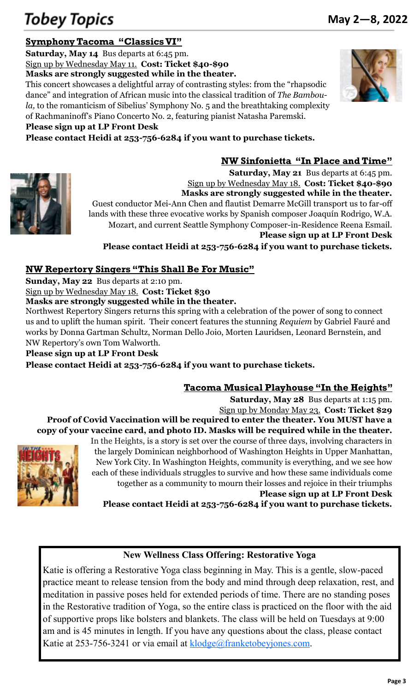# **Symphony Tacoma "Classics VI"**

**Saturday, May 14** Bus departs at 6:45 pm. Sign up by Wednesday May 11. **Cost: Ticket \$40-\$90 Masks are strongly suggested while in the theater.**

This concert showcases a delightful array of contrasting styles: from the "rhapsodic dance" and integration of African music into the classical tradition of *The Bamboula,* to the romanticism of Sibelius' Symphony No. 5 and the breathtaking complexity of Rachmaninoff's Piano Concerto No. 2, featuring pianist Natasha Paremski.

**Please sign up at LP Front Desk**

**Please contact Heidi at 253-756-6284 if you want to purchase tickets.**





**Saturday, May 21** Bus departs at 6:45 pm. Sign up by Wednesday May 18. **Cost: Ticket \$40-\$90 Masks are strongly suggested while in the theater.** Guest conductor Mei-Ann Chen and flautist Demarre McGill transport us to far-off lands with these three evocative works by Spanish composer Joaquín Rodrigo, W.A. Mozart, and current Seattle Symphony Composer-in-Residence Reena Esmail. **Please sign up at LP Front Desk**

**Please contact Heidi at 253-756-6284 if you want to purchase tickets.**

# **NW Repertory Singers "This Shall Be For Music"**

**Sunday, May 22** Bus departs at 2:10 pm.

Sign up by Wednesday May 18. **Cost: Ticket \$30**

**Masks are strongly suggested while in the theater.**

Northwest Repertory Singers returns this spring with a celebration of the power of song to connect us and to uplift the human spirit. Their concert features the stunning *Requiem* by Gabriel Fauré and works by Donna Gartman Schultz, Norman Dello Joio, Morten Lauridsen, Leonard Bernstein, and NW Repertory's own Tom Walworth.

**Please sign up at LP Front Desk**

**Please contact Heidi at 253-756-6284 if you want to purchase tickets.**

# **Tacoma Musical Playhouse "In the Heights"**

**Saturday, May 28** Bus departs at 1:15 pm.

**NW Sinfonietta "In Place and Time"**

Sign up by Monday May 23. **Cost: Ticket \$29 Proof of Covid Vaccination will be required to enter the theater. You MUST have a copy of your vaccine card, and photo ID. Masks will be required while in the theater.**



In the Heights, is a story is set over the course of three days, involving characters in the largely [Dominican n](https://en.wikipedia.org/wiki/Culture_of_the_Dominican_Republic)eighborhood of Washington Heights in Upper Manhattan, New York City. In Washington Heights, community is everything, and we see how each of these individuals struggles to survive and how these same individuals come together as a community to mourn their losses and rejoice in their triumphs **Please sign up at LP Front Desk**

**Please contact Heidi at 253-756-6284 if you want to purchase tickets.**

# **New Wellness Class Offering: Restorative Yoga**

Katie is offering a Restorative Yoga class beginning in May. This is a gentle, slow-paced practice meant to release tension from the body and mind through deep relaxation, rest, and meditation in passive poses held for extended periods of time. There are no standing poses in the Restorative tradition of Yoga, so the entire class is practiced on the floor with the aid of supportive props like bolsters and blankets. The class will be held on Tuesdays at 9:00 am and is 45 minutes in length. If you have any questions about the class, please contact Katie at 253-756-3241 or via email at **klodge@franketobeyjones.com**.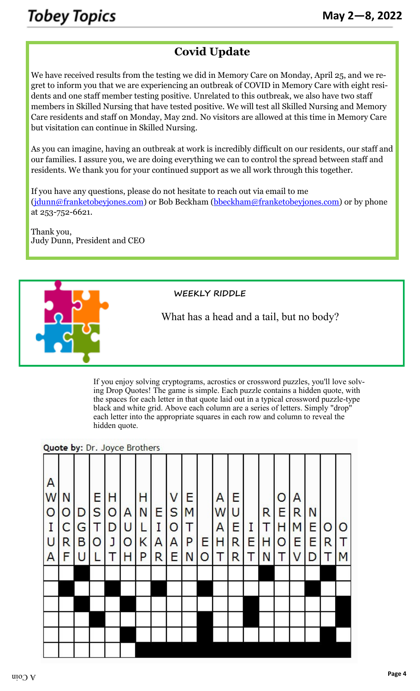# **Covid Update**

We have received results from the testing we did in Memory Care on Monday, April 25, and we regret to inform you that we are experiencing an outbreak of COVID in Memory Care with eight residents and one staff member testing positive. Unrelated to this outbreak, we also have two staff members in Skilled Nursing that have tested positive. We will test all Skilled Nursing and Memory Care residents and staff on Monday, May 2nd. No visitors are allowed at this time in Memory Care but visitation can continue in Skilled Nursing.

As you can imagine, having an outbreak at work is incredibly difficult on our residents, our staff and our families. I assure you, we are doing everything we can to control the spread between staff and residents. We thank you for your continued support as we all work through this together.

If you have any questions, please do not hesitate to reach out via email to me ([jdunn@franketobeyjones.com\)](mailto:jdunn@franketobeyjones.com) or Bob Beckham ([bbeckham@franketobeyjones.com\)](mailto:bbeckham@franketobeyjones.com) or by phone at 253-752-6621.

Thank you, Judy Dunn, President and CEO



What has a head and a tail, but no body?

If you enjoy solving cryptograms, acrostics or crossword puzzles, you'll love solving Drop Quotes! The game is simple. Each puzzle contains a hidden quote, with the spaces for each letter in that quote laid out in a typical crossword puzzle-type black and white grid. Above each column are a series of letters. Simply "drop" each letter into the appropriate squares in each row and column to reveal the hidden quote.

#### Quote by: Dr. Joyce Brothers

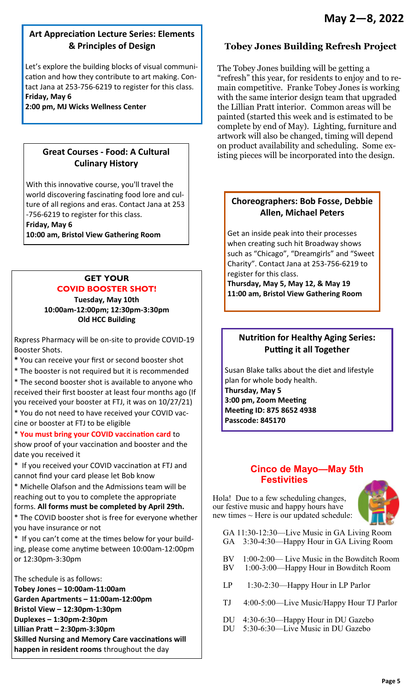# **Art Appreciation Lecture Series: Elements & Principles of Design**

Let's explore the building blocks of visual communication and how they contribute to art making. Contact Jana at 253-756-6219 to register for this class. **Friday, May 6** 

**2:00 pm, MJ Wicks Wellness Center** 

## **Great Courses - Food: A Cultural Culinary History**

With this innovative course, you'll travel the world discovering fascinating food lore and culture of all regions and eras. Contact Jana at 253 -756-6219 to register for this class.

**Friday, May 6** 

**10:00 am, Bristol View Gathering Room** 

# **GET YOUR COVID BOOSTER SHOT!**

**Tuesday, May 10th 10:00am-12:00pm; 12:30pm-3:30pm Old HCC Building** 

Rxpress Pharmacy will be on-site to provide COVID-19 Booster Shots.

**\*** You can receive your first or second booster shot

\* The booster is not required but it is recommended

\* The second booster shot is available to anyone who received their first booster at least four months ago (If you received your booster at FTJ, it was on 10/27/21)

\* You do not need to have received your COVID vaccine or booster at FTJ to be eligible

\* **You must bring your COVID vaccination card** to

show proof of your vaccination and booster and the date you received it

\* If you received your COVID vaccination at FTJ and cannot find your card please let Bob know

\* Michelle Olafson and the Admissions team will be reaching out to you to complete the appropriate

forms. **All forms must be completed by April 29th.** 

\* The COVID booster shot is free for everyone whether you have insurance or not

\* If you can't come at the times below for your building, please come anytime between 10:00am-12:00pm or 12:30pm-3:30pm

The schedule is as follows:

**Tobey Jones – 10:00am-11:00am Garden Apartments – 11:00am-12:00pm Bristol View – 12:30pm-1:30pm Duplexes – 1:30pm-2:30pm Lillian Pratt – 2:30pm-3:30pm Skilled Nursing and Memory Care vaccinations will happen in resident rooms** throughout the day

# **Tobey Jones Building Refresh Project**

The Tobey Jones building will be getting a "refresh" this year, for residents to enjoy and to remain competitive. Franke Tobey Jones is working with the same interior design team that upgraded the Lillian Pratt interior. Common areas will be painted (started this week and is estimated to be complete by end of May). Lighting, furniture and artwork will also be changed, timing will depend on product availability and scheduling. Some existing pieces will be incorporated into the design.

## **Choreographers: Bob Fosse, Debbie Allen, Michael Peters**

Get an inside peak into their processes when creating such hit Broadway shows such as "Chicago", "Dreamgirls" and "Sweet Charity". Contact Jana at 253-756-6219 to register for this class.

**Thursday, May 5, May 12, & May 19 11:00 am, Bristol View Gathering Room** 

# **Nutrition for Healthy Aging Series: Putting it all Together**

Susan Blake talks about the diet and lifestyle plan for whole body health.

**Thursday, May 5 3:00 pm, Zoom Meeting Meeting ID: 875 8652 4938 Passcode: 845170** 

# **Cinco de Mayo—May 5th Festivities**

Hola! Due to a few scheduling changes, our festive music and happy hours have new times  $\sim$  Here is our updated schedule:



 GA 11:30-12:30—Live Music in GA Living Room GA 3:30-4:30—Happy Hour in GA Living Room

- BV 1:00-2:00— Live Music in the Bowditch Room BV 1:00-3:00—Happy Hour in Bowditch Room
- LP 1:30-2:30—Happy Hour in LP Parlor
- TJ 4:00-5:00—Live Music/Happy Hour TJ Parlor
- DU 4:30-6:30—Happy Hour in DU Gazebo
- DU 5:30-6:30—Live Music in DU Gazebo